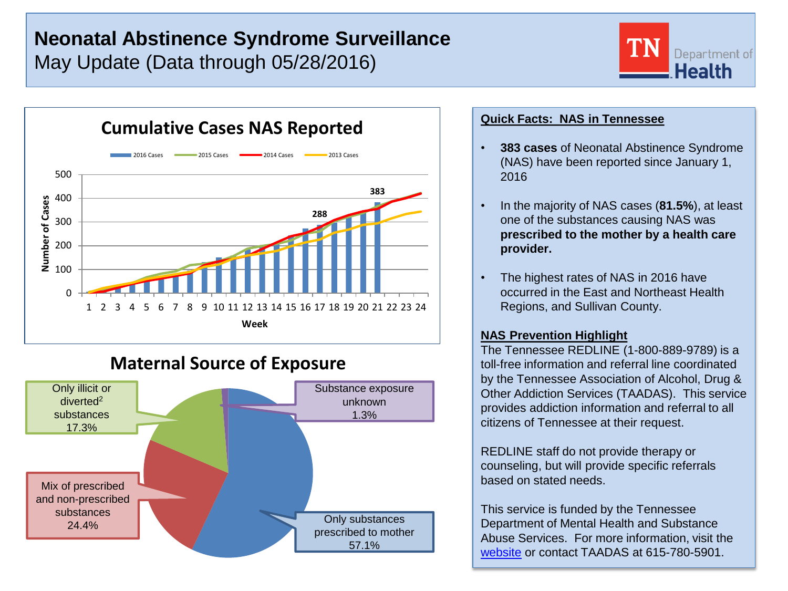# **Neonatal Abstinence Syndrome Surveillance** May Update (Data through 05/28/2016)





# **Maternal Source of Exposure**



### **Quick Facts: NAS in Tennessee**

- **383 cases** of Neonatal Abstinence Syndrome (NAS) have been reported since January 1, 2016
- In the majority of NAS cases (**81.5%**), at least one of the substances causing NAS was **prescribed to the mother by a health care provider.**
- The highest rates of NAS in 2016 have occurred in the East and Northeast Health Regions, and Sullivan County.

### **NAS Prevention Highlight**

The Tennessee REDLINE (1-800-889-9789) is a toll-free information and referral line coordinated by the Tennessee Association of Alcohol, Drug & Other Addiction Services (TAADAS). This service provides addiction information and referral to all citizens of Tennessee at their request.

REDLINE staff do not provide therapy or counseling, but will provide specific referrals based on stated needs.

This service is funded by the Tennessee Department of Mental Health and Substance Abuse Services. For more information, visit the [website](http://www.taadas.org/Redline.htm) or contact TAADAS at 615-780-5901.